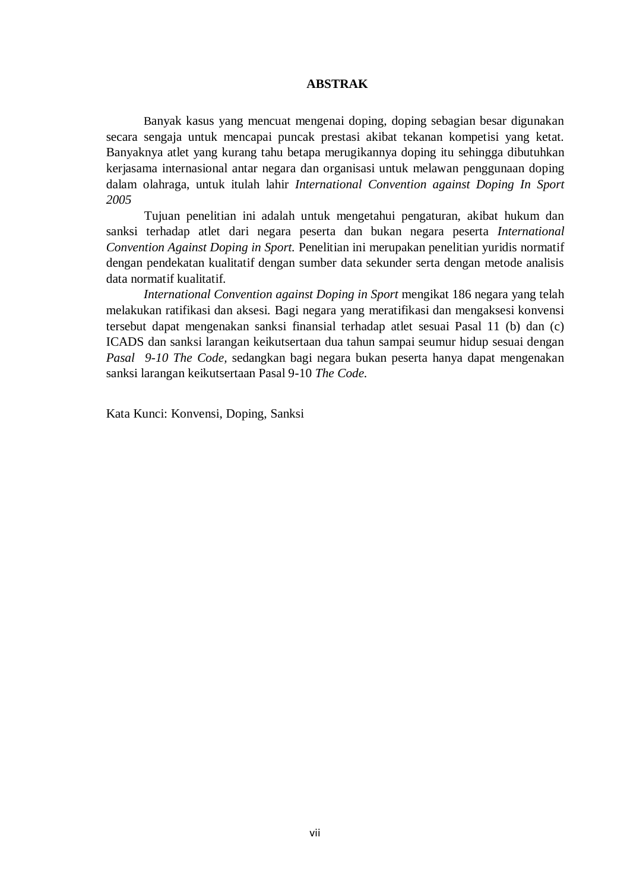## **ABSTRAK**

Banyak kasus yang mencuat mengenai doping, doping sebagian besar digunakan secara sengaja untuk mencapai puncak prestasi akibat tekanan kompetisi yang ketat. Banyaknya atlet yang kurang tahu betapa merugikannya doping itu sehingga dibutuhkan kerjasama internasional antar negara dan organisasi untuk melawan penggunaan doping dalam olahraga, untuk itulah lahir *International Convention against Doping In Sport 2005*

Tujuan penelitian ini adalah untuk mengetahui pengaturan, akibat hukum dan sanksi terhadap atlet dari negara peserta dan bukan negara peserta *International Convention Against Doping in Sport.* Penelitian ini merupakan penelitian yuridis normatif dengan pendekatan kualitatif dengan sumber data sekunder serta dengan metode analisis data normatif kualitatif.

*International Convention against Doping in Sport* mengikat 186 negara yang telah melakukan ratifikasi dan aksesi. Bagi negara yang meratifikasi dan mengaksesi konvensi tersebut dapat mengenakan sanksi finansial terhadap atlet sesuai Pasal 11 (b) dan (c) ICADS dan sanksi larangan keikutsertaan dua tahun sampai seumur hidup sesuai dengan *Pasal 9-10 The Code,* sedangkan bagi negara bukan peserta hanya dapat mengenakan sanksi larangan keikutsertaan Pasal 9-10 *The Code.*

Kata Kunci: Konvensi, Doping, Sanksi